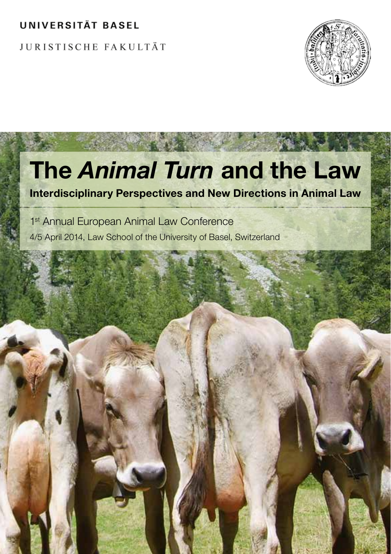## **UNIVERSITÄT BASEL**

**JURISTISCHE FAKULTÄT** 



# The *Animal Turn* and the Law

Interdisciplinary Perspectives and New Directions in Animal Law

1<sup>st</sup> Annual European Animal Law Conference 4/5 April 2014, Law School of the University of Basel, Switzerland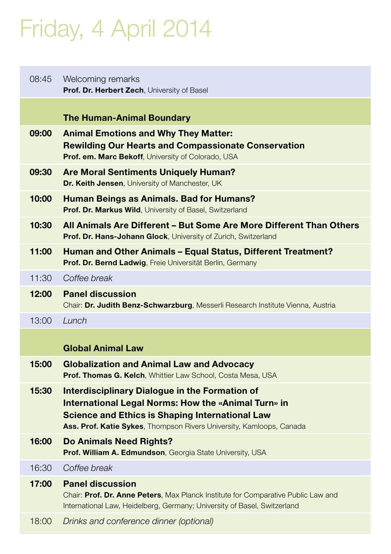# Friday, 4 April 2014

| 08:45 | Welcoming remarks<br>Prof. Dr. Herbert Zech, University of Basel                                                                                                                                                                               |
|-------|------------------------------------------------------------------------------------------------------------------------------------------------------------------------------------------------------------------------------------------------|
|       | <b>The Human-Animal Boundary</b>                                                                                                                                                                                                               |
| 09:00 | <b>Animal Emotions and Why They Matter:</b><br><b>Rewilding Our Hearts and Compassionate Conservation</b><br>Prof. em. Marc Bekoff, University of Colorado, USA                                                                                |
| 09:30 | Are Moral Sentiments Uniquely Human?<br>Dr. Keith Jensen, University of Manchester, UK                                                                                                                                                         |
| 10:00 | Human Beings as Animals. Bad for Humans?<br><b>Prof. Dr. Markus Wild, University of Basel, Switzerland</b>                                                                                                                                     |
| 10:30 | All Animals Are Different – But Some Are More Different Than Others<br><b>Prof. Dr. Hans-Johann Glock, University of Zurich, Switzerland</b>                                                                                                   |
| 11:00 | Human and Other Animals – Equal Status, Different Treatment?<br>Prof. Dr. Bernd Ladwig, Freie Universität Berlin, Germany                                                                                                                      |
| 11:30 | Coffee break                                                                                                                                                                                                                                   |
| 12:00 | <b>Panel discussion</b><br>Chair: Dr. Judith Benz-Schwarzburg, Messerli Research Institute Vienna, Austria                                                                                                                                     |
| 13:00 | Lunch                                                                                                                                                                                                                                          |
|       | <b>Global Animal Law</b>                                                                                                                                                                                                                       |
| 15:00 | <b>Globalization and Animal Law and Advocacy</b><br><b>Prof. Thomas G. Kelch, Whittier Law School, Costa Mesa, USA</b>                                                                                                                         |
| 15:30 | <b>Interdisciplinary Dialogue in the Formation of</b><br>International Legal Norms: How the «Animal Turn» in<br><b>Science and Ethics is Shaping International Law</b><br>Ass. Prof. Katie Sykes, Thompson Rivers University, Kamloops, Canada |
| 16:00 | Do Animals Need Rights?<br>Prof. William A. Edmundson, Georgia State University, USA                                                                                                                                                           |
| 16:30 | Coffee break                                                                                                                                                                                                                                   |
| 17:00 | <b>Panel discussion</b><br>Chair: Prof. Dr. Anne Peters, Max Planck Institute for Comparative Public Law and<br>International Law, Heidelberg, Germany; University of Basel, Switzerland                                                       |
| 18:00 | Drinks and conference dinner (optional)                                                                                                                                                                                                        |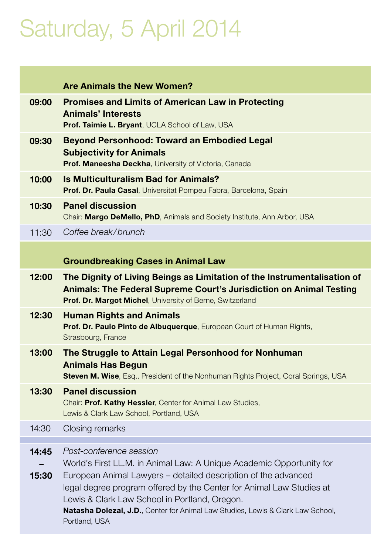# Saturday, 5 April 2014

|                | <b>Are Animals the New Women?</b>                                                                                                                                                                                                                                                                                                                                                                      |
|----------------|--------------------------------------------------------------------------------------------------------------------------------------------------------------------------------------------------------------------------------------------------------------------------------------------------------------------------------------------------------------------------------------------------------|
| 09:00          | <b>Promises and Limits of American Law in Protecting</b><br><b>Animals' Interests</b><br>Prof. Taimie L. Bryant, UCLA School of Law, USA                                                                                                                                                                                                                                                               |
| 09:30          | <b>Beyond Personhood: Toward an Embodied Legal</b><br><b>Subjectivity for Animals</b><br><b>Prof. Maneesha Deckha, University of Victoria, Canada</b>                                                                                                                                                                                                                                                  |
| 10:00          | <b>Is Multiculturalism Bad for Animals?</b><br><b>Prof. Dr. Paula Casal</b> , Universitat Pompeu Fabra, Barcelona, Spain                                                                                                                                                                                                                                                                               |
| 10:30          | <b>Panel discussion</b><br>Chair: Margo DeMello, PhD, Animals and Society Institute, Ann Arbor, USA                                                                                                                                                                                                                                                                                                    |
| 11:30          | Coffee break/brunch                                                                                                                                                                                                                                                                                                                                                                                    |
|                | <b>Groundbreaking Cases in Animal Law</b>                                                                                                                                                                                                                                                                                                                                                              |
| 12:00          | The Dignity of Living Beings as Limitation of the Instrumentalisation of<br><b>Animals: The Federal Supreme Court's Jurisdiction on Animal Testing</b><br><b>Prof. Dr. Margot Michel, University of Berne, Switzerland</b>                                                                                                                                                                             |
| 12:30          | <b>Human Rights and Animals</b><br>Prof. Dr. Paulo Pinto de Albuquerque, European Court of Human Rights,<br>Strasbourg, France                                                                                                                                                                                                                                                                         |
| 13:00          | The Struggle to Attain Legal Personhood for Nonhuman<br>Animals Has Begun<br><b>Steven M. Wise</b> , Esq., President of the Nonhuman Rights Project, Coral Springs, USA                                                                                                                                                                                                                                |
| 13:30          | <b>Panel discussion</b><br>Chair: Prof. Kathy Hessler, Center for Animal Law Studies,<br>Lewis & Clark Law School, Portland, USA                                                                                                                                                                                                                                                                       |
| 14:30          | Closing remarks                                                                                                                                                                                                                                                                                                                                                                                        |
| 14:45<br>15:30 | Post-conference session<br>World's First LL.M. in Animal Law: A Unique Academic Opportunity for<br>European Animal Lawyers - detailed description of the advanced<br>legal degree program offered by the Center for Animal Law Studies at<br>Lewis & Clark Law School in Portland, Oregon.<br><b>Natasha Dolezal, J.D.</b> , Center for Animal Law Studies, Lewis & Clark Law School,<br>Portland, USA |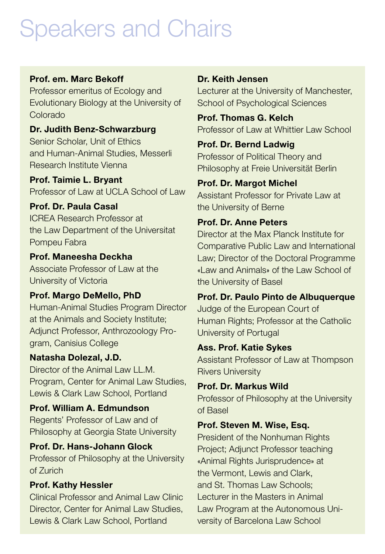## Speakers and Chairs

### Prof. em. Marc Bekoff

Professor emeritus of Ecology and Evolutionary Biology at the University of Colorado

Dr. Judith Benz-Schwarzburg Senior Scholar, Unit of Ethics and Human-Animal Studies, Messerli Research Institute Vienna

Prof. Taimie L. Bryant Professor of Law at UCLA School of Law

#### Prof. Dr. Paula Casal

ICREA Research Professor at the Law Department of the Universitat Pompeu Fabra

#### Prof. Maneesha Deckha Associate Professor of Law at the University of Victoria

Prof. Margo DeMello, PhD Human-Animal Studies Program Director at the Animals and Society Institute; Adjunct Professor, Anthrozoology Program, Canisius College

Natasha Dolezal, J.D. Director of the Animal Law LL.M. Program, Center for Animal Law Studies, Lewis & Clark Law School, Portland

Prof. William A. Edmundson Regents' Professor of Law and of Philosophy at Georgia State University

#### Prof. Dr. Hans-Johann Glock

Professor of Philosophy at the University of Zurich

#### Prof. Kathy Hessler

Clinical Professor and Animal Law Clinic Director, Center for Animal Law Studies, Lewis & Clark Law School, Portland

#### Dr. Keith Jensen

Lecturer at the University of Manchester, School of Psychological Sciences

Prof. Thomas G. Kelch Professor of Law at Whittier Law School

### Prof. Dr. Bernd Ladwig

Professor of Political Theory and Philosophy at Freie Universität Berlin

Prof. Dr. Margot Michel Assistant Professor for Private Law at the University of Berne

#### Prof. Dr. Anne Peters

Director at the Max Planck Institute for Comparative Public Law and International Law; Director of the Doctoral Programme «Law and Animals» of the Law School of the University of Basel

Prof. Dr. Paulo Pinto de Albuquerque Judge of the European Court of Human Rights; Professor at the Catholic University of Portugal

#### Ass. Prof. Katie Sykes

Assistant Professor of Law at Thompson Rivers University

#### Prof. Dr. Markus Wild

Professor of Philosophy at the University of Basel

### Prof. Steven M. Wise, Esq.

President of the Nonhuman Rights Project; Adjunct Professor teaching «Animal Rights Jurisprudence» at the Vermont, Lewis and Clark, and St. Thomas Law Schools; Lecturer in the Masters in Animal Law Program at the Autonomous University of Barcelona Law School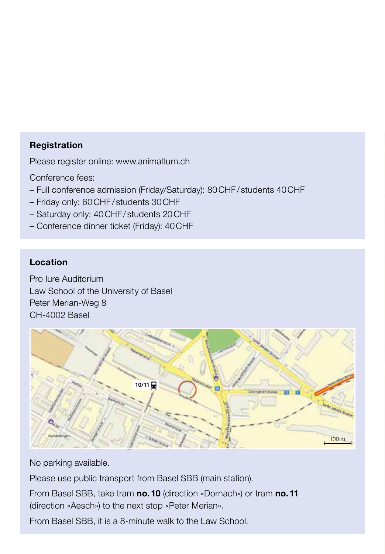#### Registration

Please register online: www.animalturn.ch

Conference fees:

- Full conference admission (Friday/Saturday): 80CHF/ students 40CHF
- Friday only: 60CHF/ students 30CHF
- Saturday only: 40CHF/ students 20CHF
- Conference dinner ticket (Friday): 40CHF

#### Location

Pro Iure Auditorium Law School of the University of Basel Peter Merian-Weg 8 CH-4002 Basel



No parking available.

Please use public transport from Basel SBB (main station).

From Basel SBB, take tram no. 10 (direction «Dornach») or tram no. 11 (direction «Aesch») to the next stop «Peter Merian».

From Basel SBB, it is a 8-minute walk to the Law School.